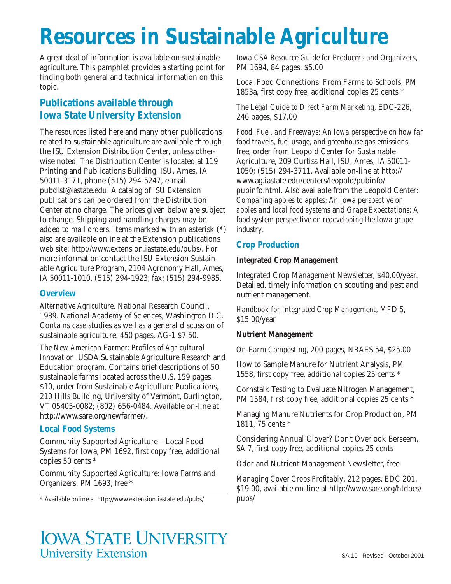# **Resources in Sustainable Agriculture**

A great deal of information is available on sustainable agriculture. This pamphlet provides a starting point for finding both general and technical information on this topic.

## **Publications available through Iowa State University Extension**

The resources listed here and many other publications related to sustainable agriculture are available through the ISU Extension Distribution Center, unless otherwise noted. The Distribution Center is located at 119 Printing and Publications Building, ISU, Ames, IA 50011-3171, phone (515) 294-5247, e-mail pubdist@iastate.edu. A catalog of ISU Extension publications can be ordered from the Distribution Center at no charge. The prices given below are subject to change. Shipping and handling charges may be added to mail orders. Items marked with an asterisk (\*) also are available online at the Extension publications web site: http://www.extension.iastate.edu/pubs/. For more information contact the ISU Extension Sustainable Agriculture Program, 2104 Agronomy Hall, Ames, IA 50011-1010. (515) 294-1923; fax: (515) 294-9985.

#### **Overview**

*Alternative Agriculture*. National Research Council, 1989. National Academy of Sciences, Washington D.C. Contains case studies as well as a general discussion of sustainable agriculture. 450 pages. AG-1 \$7.50.

*The New American Farmer: Profiles of Agricultural Innovation.* USDA Sustainable Agriculture Research and Education program. Contains brief descriptions of 50 sustainable farms located across the U.S. 159 pages. \$10, order from Sustainable Agriculture Publications, 210 Hills Building, University of Vermont, Burlington, VT 05405-0082; (802) 656-0484. Available on-line at http://www.sare.org/newfarmer/.

#### **Local Food Systems**

Community Supported Agriculture—Local Food Systems for Iowa, PM 1692, first copy free, additional copies 50 cents \*

Community Supported Agriculture: Iowa Farms and Organizers, PM 1693, free \*

\* Available online at http://www.extension.iastate.edu/pubs/

*Iowa CSA Resource Guide for Producers and Organizers*, PM 1694, 84 pages, \$5.00

Local Food Connections: From Farms to Schools, PM 1853a, first copy free, additional copies 25 cents \*

*The Legal Guide to Direct Farm Marketing*, EDC-226, 246 pages, \$17.00

*Food, Fuel, and Freeways: An Iowa perspective on how far food travels, fuel usage, and greenhouse gas emissions*, free; order from Leopold Center for Sustainable Agriculture, 209 Curtiss Hall, ISU, Ames, IA 50011- 1050; (515) 294-3711. Available on-line at http:// www.ag.iastate.edu/centers/leopold/pubinfo/ pubinfo.html. Also available from the Leopold Center: *Comparing apples to apples: An Iowa perspective on apples and local food systems* and *Grape Expectations: A food system perspective on redeveloping the Iowa grape industry*.

#### **Crop Production**

#### **Integrated Crop Management**

Integrated Crop Management Newsletter, \$40.00/year. Detailed, timely information on scouting and pest and nutrient management.

*Handbook for Integrated Crop Management*, MFD 5, \$15.00/year

#### **Nutrient Management**

*On-Farm Composting*, 200 pages, NRAES 54, \$25.00

How to Sample Manure for Nutrient Analysis, PM 1558, first copy free, additional copies 25 cents \*

Cornstalk Testing to Evaluate Nitrogen Management, PM 1584, first copy free, additional copies 25 cents \*

Managing Manure Nutrients for Crop Production, PM 1811, 75 cents \*

Considering Annual Clover? Don't Overlook Berseem, SA 7, first copy free, additional copies 25 cents

Odor and Nutrient Management Newsletter, free

*Managing Cover Crops Profitably*, 212 pages, EDC 201, \$19.00, available on-line at http://www.sare.org/htdocs/ pubs/

# **IOWA STATE UNIVERSITY University Extension**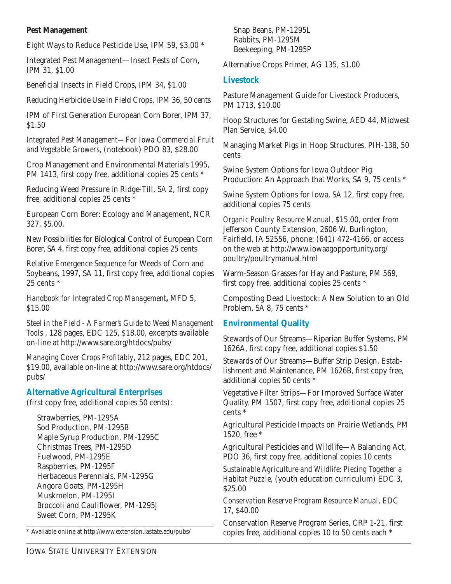#### **Pest Management**

Eight Ways to Reduce Pesticide Use, IPM 59, \$3.00 \*

Integrated Pest Management—Insect Pests of Corn, IPM 31, \$1.00

Beneficial Insects in Field Crops, IPM 34, \$1.00

Reducing Herbicide Use in Field Crops, IPM 36, 50 cents

IPM of First Generation European Corn Borer, IPM 37, \$1.50

*Integrated Pest Management—For Iowa Commercial Fruit and Vegetable Growers*, (notebook) PDO 83, \$28.00

Crop Management and Environmental Materials 1995, PM 1413, first copy free, additional copies 25 cents \*

Reducing Weed Pressure in Ridge-Till, SA 2, first copy free, additional copies 25 cents \*

European Corn Borer: Ecology and Management, NCR 327, \$5.00.

New Possibilities for Biological Control of European Corn Borer, SA 4, first copy free, additional copies 25 cents

Relative Emergence Sequence for Weeds of Corn and Soybeans, 1997, SA 11, first copy free, additional copies 25 cents \*

*Handbook for Integrated Crop Management***,** MFD 5, \$15.00

*Steel in the Field - A Farmer's Guide to Weed Management Tools* , 128 pages, EDC 125, \$18.00, excerpts available on-line at http://www.sare.org/htdocs/pubs/

*Managing Cover Crops Profitably*, 212 pages, EDC 201, \$19.00, available on-line at http://www.sare.org/htdocs/ pubs/

#### **Alternative Agricultural Enterprises**

(first copy free, additional copies 50 cents):

Strawberries, PM-1295A Sod Production, PM-1295B Maple Syrup Production, PM-1295C Christmas Trees, PM-1295D Fuelwood, PM-1295E Raspberries, PM-1295F Herbaceous Perennials, PM-1295G Angora Goats, PM-1295H Muskmelon, PM-1295I Broccoli and Cauliflower, PM-1295J Sweet Corn, PM-1295K

\* Available online at http://www.extension.iastate.edu/pubs/

Snap Beans, PM-1295L Rabbits, PM-1295M Beekeeping, PM-1295P

Alternative Crops Primer, AG 135, \$1.00

#### **Livestock**

Pasture Management Guide for Livestock Producers, PM 1713, \$10.00

Hoop Structures for Gestating Swine, AED 44, Midwest Plan Service, \$4.00

Managing Market Pigs in Hoop Structures, PIH-138, 50 cents

Swine System Options for Iowa Outdoor Pig Production: An Approach that Works, SA 9, 75 cents \*

Swine System Options for Iowa, SA 12, first copy free, additional copies 75 cents

*Organic Poultry Resource Manual*, \$15.00, order from Jefferson County Extension, 2606 W. Burlington, Fairfield, IA 52556, phone: (641) 472-4166, or access on the web at http://www.iowaagopportunity.org/ poultry/poultrymanual.html

Warm-Season Grasses for Hay and Pasture, PM 569, first copy free, additional copies 25 cents \*

Composting Dead Livestock: A New Solution to an Old Problem, SA 8, 75 cents \*

#### **Environmental Quality**

Stewards of Our Streams—Riparian Buffer Systems, PM 1626A, first copy free, additional copies \$1.50

Stewards of Our Streams—Buffer Strip Design, Establishment and Maintenance, PM 1626B, first copy free, additional copies 50 cents \*

Vegetative Filter Strips—For Improved Surface Water Quality, PM 1507, first copy free, additional copies 25 cents \*

Agricultural Pesticide Impacts on Prairie Wetlands, PM 1520, free \*

Agricultural Pesticides and Wildlife—A Balancing Act, PDO 36, first copy free, additional copies 10 cents

*Sustainable Agriculture and Wildlife: Piecing Together a Habitat Puzzle*, (youth education curriculum) EDC 3, \$25.00

*Conservation Reserve Program Resource Manual*, EDC 17, \$40.00

Conservation Reserve Program Series, CRP 1-21, first copies free, additional copies 10 to 50 cents each \*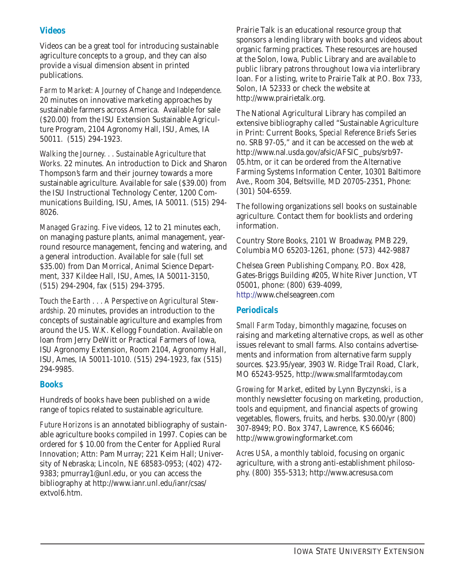### **Videos**

Videos can be a great tool for introducing sustainable agriculture concepts to a group, and they can also provide a visual dimension absent in printed publications.

*Farm to Market: A Journey of Change and Independence.* 20 minutes on innovative marketing approaches by sustainable farmers across America. Available for sale (\$20.00) from the ISU Extension Sustainable Agriculture Program, 2104 Agronomy Hall, ISU, Ames, IA 50011. (515) 294-1923.

*Walking the Journey. . . Sustainable Agriculture that Works*. 22 minutes. An introduction to Dick and Sharon Thompson's farm and their journey towards a more sustainable agriculture. Available for sale (\$39.00) from the ISU Instructional Technology Center, 1200 Communications Building, ISU, Ames, IA 50011. (515) 294- 8026.

*Managed Grazing*. Five videos, 12 to 21 minutes each, on managing pasture plants, animal management, yearround resource management, fencing and watering, and a general introduction. Available for sale (full set \$35.00) from Dan Morrical, Animal Science Department, 337 Kildee Hall, ISU, Ames, IA 50011-3150, (515) 294-2904, fax (515) 294-3795.

*Touch the Earth . . . A Perspective on Agricultural Stewardship*. 20 minutes, provides an introduction to the concepts of sustainable agriculture and examples from around the US. W.K. Kellogg Foundation. Available on loan from Jerry DeWitt or Practical Farmers of Iowa, ISU Agronomy Extension, Room 2104, Agronomy Hall, ISU, Ames, IA 50011-1010. (515) 294-1923, fax (515) 294-9985.

#### **Books**

Hundreds of books have been published on a wide range of topics related to sustainable agriculture.

*Future Horizons* is an annotated bibliography of sustainable agriculture books compiled in 1997. Copies can be ordered for \$ 10.00 from the Center for Applied Rural Innovation; Attn: Pam Murray; 221 Keim Hall; University of Nebraska; Lincoln, NE 68583-0953; (402) 472- 9383; pmurray1@unl.edu, or you can access the bibliography at http://www.ianr.unl.edu/ianr/csas/ extvol6.htm.

Prairie Talk is an educational resource group that sponsors a lending library with books and videos about organic farming practices. These resources are housed at the Solon, Iowa, Public Library and are available to public library patrons throughout Iowa via interlibrary loan. For a listing, write to Prairie Talk at P.O. Box 733, Solon, IA 52333 or check the website at http://www.prairietalk.org.

The National Agricultural Library has compiled an extensive bibliography called "Sustainable Agriculture in Print: Current Books, *Special Reference Briefs Series* no. SRB 97-05," and it can be accessed on the web at http://www.nal.usda.gov/afsic/AFSIC\_pubs/srb97- 05.htm, or it can be ordered from the Alternative Farming Systems Information Center, 10301 Baltimore Ave., Room 304, Beltsville, MD 20705-2351, Phone: (301) 504-6559.

The following organizations sell books on sustainable agriculture. Contact them for booklists and ordering information.

Country Store Books, 2101 W Broadway, PMB 229, Columbia MO 65203-1261, phone: (573) 442-9887

Chelsea Green Publishing Company, P.O. Box 428, Gates-Briggs Building #205, White River Junction, VT 05001, phone: (800) 639-4099, http://www.chelseagreen.com

### **Periodicals**

*Small Farm Today*, bimonthly magazine, focuses on raising and marketing alternative crops, as well as other issues relevant to small farms. Also contains advertisements and information from alternative farm supply sources. \$23.95/year, 3903 W. Ridge Trail Road, Clark, MO 65243-9525, http://www.smallfarmtoday.com

*Growing for Market*, edited by Lynn Byczynski, is a monthly newsletter focusing on marketing, production, tools and equipment, and financial aspects of growing vegetables, flowers, fruits, and herbs. \$30.00/yr (800) 307-8949; P.O. Box 3747, Lawrence, KS 66046; http://www.growingformarket.com

*Acres USA*, a monthly tabloid, focusing on organic agriculture, with a strong anti-establishment philosophy. (800) 355-5313; http://www.acresusa.com